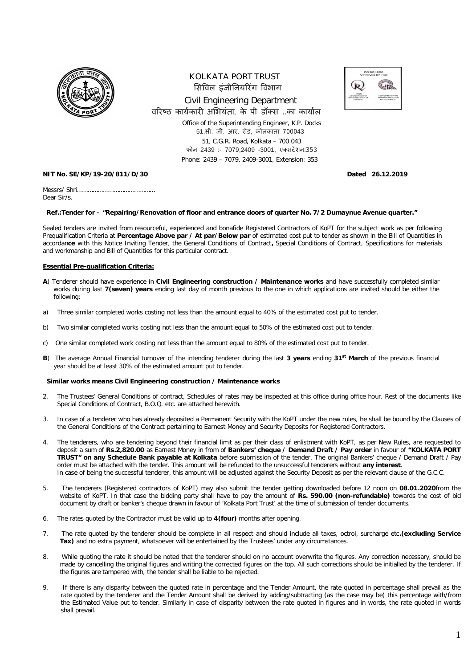

## KOLKATA PORT TRUST सिविल इंजीनियरिंग विभाग Civil Engineering Department वरिष्ठ कार्यकारी अभियंता. के पी डॉक्स ..का कार्याल Office of the Superintending Engineer, K.P. Docks 51,सी. जी. आर. रोड, कोलकाता 700043 51, C.G.R. Road, Kolkata – 700 043 फोन 2439 :- 7079.2409 -3001, एक्सटेंशन:353 Phone: 2439 – 7079, 2409-3001, Extension: 353



## **NIT No. SE/KP/19-20/811/D/30 Dated 26.12.2019**

Messrs/ Shri……………………………………… Dear Sir/s.

## **Ref.:Tender for – "Repairing/Renovation of floor and entrance doors of quarter No. 7/2 Dumaynue Avenue quarter."**

Sealed tenders are invited from resourceful, experienced and bonafide Registered Contractors of KoPT for the subject work as per following Prequalification Criteria at **Percentage Above par / At par/Below par** of estimated cost put to tender as shown in the Bill of Quantities in accordan**ce** with this Notice Inviting Tender, the General Conditions of Contract**,** Special Conditions of Contract, Specifications for materials and workmanship and Bill of Quantities for this particular contract.

## **Essential Pre-qualification Criteria:**

- **A**) Tenderer should have experience in **Civil Engineering construction / Maintenance works** and have successfully completed similar works during last **7(seven) years** ending last day of month previous to the one in which applications are invited should be either the following:
- a) Three similar completed works costing not less than the amount equal to 40% of the estimated cost put to tender.
- b) Two similar completed works costing not less than the amount equal to 50% of the estimated cost put to tender.
- c) One similar completed work costing not less than the amount equal to 80% of the estimated cost put to tender.
- **B**) The average Annual Financial turnover of the intending tenderer during the last **3 years** ending **31st March** of the previous financial year should be at least 30% of the estimated amount put to tender.

## **Similar works means Civil Engineering construction / Maintenance works**

- 2. The Trustees' General Conditions of contract, Schedules of rates may be inspected at this office during office hour. Rest of the documents like Special Conditions of Contract, B.O.Q. etc. are attached herewith.
- 3. In case of a tenderer who has already deposited a Permanent Security with the KoPT under the new rules, he shall be bound by the Clauses of the General Conditions of the Contract pertaining to Earnest Money and Security Deposits for Registered Contractors.
- 4. The tenderers, who are tendering beyond their financial limit as per their class of enlistment with KoPT, as per New Rules, are requested to deposit a sum of **Rs.2,820.00** as Earnest Money in from of **Bankers' cheque / Demand Draft / Pay order** in favour of **"KOLKATA PORT TRUST" on any Schedule Bank payable at Kolkata** before submission of the tender. The original Bankers' cheque / Demand Draft / Pay order must be attached with the tender. This amount will be refunded to the unsuccessful tenderers without **any interest**. In case of being the successful tenderer, this amount will be adjusted against the Security Deposit as per the relevant clause of the G.C.C.
- 5. The tenderers (Registered contractors of KoPT) may also submit the tender getting downloaded before 12 noon on **08.01.2020**from the website of KoPT. In that case the bidding party shall have to pay the amount of **Rs. 590.00 (non-refundable)** towards the cost of bid document by draft or banker's cheque drawn in favour of 'Kolkata Port Trust' at the time of submission of tender documents.
- 6. The rates quoted by the Contractor must be valid up to **4(four)** months after opening.
- 7. The rate quoted by the tenderer should be complete in all respect and should include all taxes, octroi, surcharge etc**.(excluding Service Tax)** and no extra payment, whatsoever will be entertained by the Trustees' under any circumstances.
- 8. While quoting the rate it should be noted that the tenderer should on no account overwrite the figures. Any correction necessary, should be made by cancelling the original figures and writing the corrected figures on the top. All such corrections should be initialled by the tenderer. If the figures are tampered with, the tender shall be liable to be rejected.
- 9. If there is any disparity between the quoted rate in percentage and the Tender Amount, the rate quoted in percentage shall prevail as the rate quoted by the tenderer and the Tender Amount shall be derived by adding/subtracting (as the case may be) this percentage with/from the Estimated Value put to tender. Similarly in case of disparity between the rate quoted in figures and in words, the rate quoted in words shall prevail.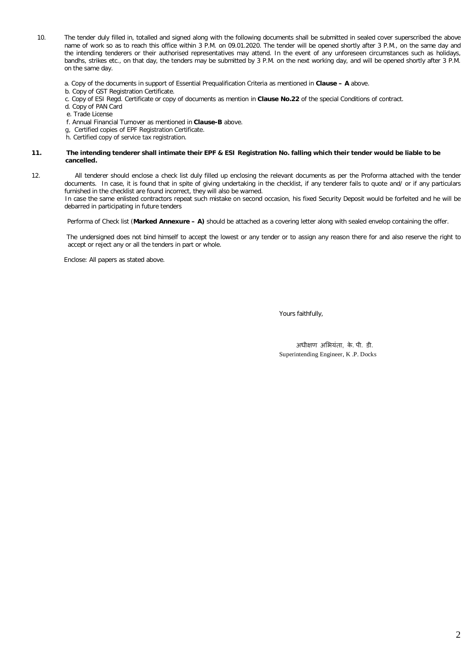- 10. The tender duly filled in, totalled and signed along with the following documents shall be submitted in sealed cover superscribed the above name of work so as to reach this office within 3 P.M. on 09.01.2020. The tender will be opened shortly after 3 P.M., on the same day and the intending tenderers or their authorised representatives may attend. In the event of any unforeseen circumstances such as holidays, bandhs, strikes etc., on that day, the tenders may be submitted by 3 P.M. on the next working day, and will be opened shortly after 3 P.M. on the same day.
	- a. Copy of the documents in support of Essential Prequalification Criteria as mentioned in **Clause – A** above.
	- b. Copy of GST Registration Certificate.
	- c. Copy of ESI Regd. Certificate or copy of documents as mention in **Clause No.22** of the special Conditions of contract.
	- d. Copy of PAN Card
	- e. Trade License
	- f. Annual Financial Turnover as mentioned in **Clause-B** above.
	- g, Certified copies of EPF Registration Certificate.
	- h. Certified copy of service tax registration.

#### **11. The intending tenderer shall intimate their EPF & ESI Registration No. falling which their tender would be liable to be cancelled.**

12. All tenderer should enclose a check list duly filled up enclosing the relevant documents as per the Proforma attached with the tender documents. In case, it is found that in spite of giving undertaking in the checklist, if any tenderer fails to quote and/ or if any particulars furnished in the checklist are found incorrect, they will also be warned.

 In case the same enlisted contractors repeat such mistake on second occasion, his fixed Security Deposit would be forfeited and he will be debarred in participating in future tenders

Performa of Check list (**Marked Annexure – A)** should be attached as a covering letter along with sealed envelop containing the offer.

 The undersigned does not bind himself to accept the lowest or any tender or to assign any reason there for and also reserve the right to accept or reject any or all the tenders in part or whole.

Enclose: All papers as stated above.

Yours faithfully,

 अधी¢ण अͧभयंता, के. पी. डी. Superintending Engineer, K .P. Docks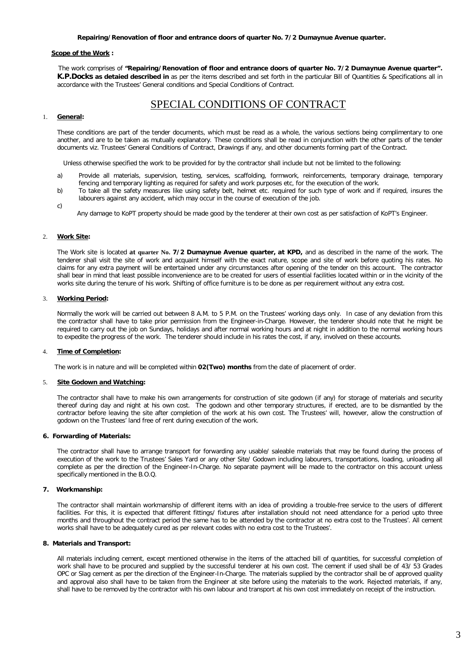### **Repairing/Renovation of floor and entrance doors of quarter No. 7/2 Dumaynue Avenue quarter.**

#### **Scope of the Work :**

 The work comprises of **"Repairing/Renovation of floor and entrance doors of quarter No. 7/2 Dumaynue Avenue quarter". K.P.Docks as detaied described in** as per the items described and set forth in the particular Bill of Quantities & Specifications all in accordance with the Trustees' General conditions and Special Conditions of Contract.

# SPECIAL CONDITIONS OF CONTRACT

## 1. **General:**

These conditions are part of the tender documents, which must be read as a whole, the various sections being complimentary to one another, and are to be taken as mutually explanatory. These conditions shall be read in conjunction with the other parts of the tender documents viz. Trustees' General Conditions of Contract, Drawings if any, and other documents forming part of the Contract.

Unless otherwise specified the work to be provided for by the contractor shall include but not be limited to the following:

- a) Provide all materials, supervision, testing, services, scaffolding, formwork, reinforcements, temporary drainage, temporary fencing and temporary lighting as required for safety and work purposes etc, for the execution of the work.
- b) To take all the safety measures like using safety belt, helmet etc. required for such type of work and if required, insures the labourers against any accident, which may occur in the course of execution of the job.
- c)

Any damage to KoPT property should be made good by the tenderer at their own cost as per satisfaction of KoPT's Engineer.

## 2. **Work Site:**

The Work site is located **at quarter No. 7/2 Dumaynue Avenue quarter, at KPD,** and as described in the name of the work. The tenderer shall visit the site of work and acquaint himself with the exact nature, scope and site of work before quoting his rates. No claims for any extra payment will be entertained under any circumstances after opening of the tender on this account. The contractor shall bear in mind that least possible inconvenience are to be created for users of essential facilities located within or in the vicinity of the works site during the tenure of his work. Shifting of office furniture is to be done as per requirement without any extra cost.

## 3. **Working Period:**

Normally the work will be carried out between 8 A.M. to 5 P.M. on the Trustees' working days only. In case of any deviation from this the contractor shall have to take prior permission from the Engineer-in-Charge. However, the tenderer should note that he might be required to carry out the job on Sundays, holidays and after normal working hours and at night in addition to the normal working hours to expedite the progress of the work. The tenderer should include in his rates the cost, if any, involved on these accounts.

### 4. **Time of Completion:**

The work is in nature and will be completed within **02(Two) months** from the date of placement of order.

#### **Site Godown and Watching:**

The contractor shall have to make his own arrangements for construction of site godown (if any) for storage of materials and security thereof during day and night at his own cost. The godown and other temporary structures, if erected, are to be dismantled by the contractor before leaving the site after completion of the work at his own cost. The Trustees' will, however, allow the construction of godown on the Trustees' land free of rent during execution of the work.

#### **6. Forwarding of Materials:**

The contractor shall have to arrange transport for forwarding any usable/ saleable materials that may be found during the process of execution of the work to the Trustees' Sales Yard or any other Site/ Godown including labourers, transportations, loading, unloading all complete as per the direction of the Engineer-In-Charge. No separate payment will be made to the contractor on this account unless specifically mentioned in the B.O.Q.

## **7. Workmanship:**

The contractor shall maintain workmanship of different items with an idea of providing a trouble-free service to the users of different facilities. For this, it is expected that different fittings/ fixtures after installation should not need attendance for a period upto three months and throughout the contract period the same has to be attended by the contractor at no extra cost to the Trustees'. All cement works shall have to be adequately cured as per relevant codes with no extra cost to the Trustees'.

## **8. Materials and Transport:**

All materials including cement, except mentioned otherwise in the items of the attached bill of quantities, for successful completion of work shall have to be procured and supplied by the successful tenderer at his own cost. The cement if used shall be of 43/ 53 Grades OPC or Slag cement as per the direction of the Engineer-In-Charge. The materials supplied by the contractor shall be of approved quality and approval also shall have to be taken from the Engineer at site before using the materials to the work. Rejected materials, if any, shall have to be removed by the contractor with his own labour and transport at his own cost immediately on receipt of the instruction.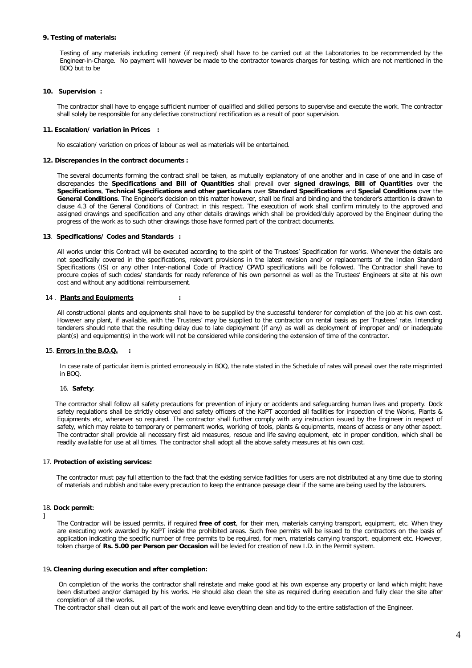## **9. Testing of materials:**

Testing of any materials including cement (if required) shall have to be carried out at the Laboratories to be recommended by the Engineer-in-Charge. No payment will however be made to the contractor towards charges for testing. which are not mentioned in the BOQ but to be

#### **10. Supervision :**

The contractor shall have to engage sufficient number of qualified and skilled persons to supervise and execute the work. The contractor shall solely be responsible for any defective construction/ rectification as a result of poor supervision.

#### **11. Escalation/ variation in Prices :**

No escalation/ variation on prices of labour as well as materials will be entertained.

## **12. Discrepancies in the contract documents :**

The several documents forming the contract shall be taken, as mutually explanatory of one another and in case of one and in case of discrepancies the **Specifications and Bill of Quantities** shall prevail over **signed drawings**, **Bill of Quantities** over the **Specifications**, **Technical Specifications and other particulars** over **Standard Specifications** and **Special Conditions** over the **General Conditions**. The Engineer's decision on this matter however, shall be final and binding and the tenderer's attention is drawn to clause 4.3 of the General Conditions of Contract in this respect. The execution of work shall confirm minutely to the approved and assigned drawings and specification and any other details drawings which shall be provided/duly approved by the Engineer during the progress of the work as to such other drawings those have formed part of the contract documents.

#### **13**. **Specifications/ Codes and Standards :**

All works under this Contract will be executed according to the spirit of the Trustees' Specification for works. Whenever the details are not specifically covered in the specifications, relevant provisions in the latest revision and/ or replacements of the Indian Standard Specifications (IS) or any other Inter-national Code of Practice/ CPWD specifications will be followed. The Contractor shall have to procure copies of such codes/ standards for ready reference of his own personnel as well as the Trustees' Engineers at site at his own cost and without any additional reimbursement.

#### 14 . **Plants and Equipments :**

All constructional plants and equipments shall have to be supplied by the successful tenderer for completion of the job at his own cost. However any plant, if available, with the Trustees' may be supplied to the contractor on rental basis as per Trustees' rate. Intending tenderers should note that the resulting delay due to late deployment (if any) as well as deployment of improper and/ or inadequate plant(s) and equipment(s) in the work will not be considered while considering the extension of time of the contractor.

#### 15. **Errors in the B.O.Q. :**

In case rate of particular item is printed erroneously in BOQ, the rate stated in the Schedule of rates will prevail over the rate misprinted in BOQ.

#### 16. **Safety**:

The contractor shall follow all safety precautions for prevention of injury or accidents and safeguarding human lives and property. Dock safety regulations shall be strictly observed and safety officers of the KoPT accorded all facilities for inspection of the Works, Plants & Equipments etc, whenever so required. The contractor shall further comply with any instruction issued by the Engineer in respect of safety, which may relate to temporary or permanent works, working of tools, plants & equipments, means of access or any other aspect. The contractor shall provide all necessary first aid measures, rescue and life saving equipment, etc in proper condition, which shall be readily available for use at all times. The contractor shall adopt all the above safety measures at his own cost.

#### 17. **Protection of existing services:**

 The contractor must pay full attention to the fact that the existing service facilities for users are not distributed at any time due to storing of materials and rubbish and take every precaution to keep the entrance passage clear if the same are being used by the labourers.

#### 18. **Dock permit**:

The Contractor will be issued permits, if required **free of cost**, for their men, materials carrying transport, equipment, etc. When they are executing work awarded by KoPT inside the prohibited areas. Such free permits will be issued to the contractors on the basis of application indicating the specific number of free permits to be required, for men, materials carrying transport, equipment etc. However, token charge of **Rs. 5.00 per Person per Occasion** will be levied for creation of new I.D. in the Permit system.

#### 19**. Cleaning during execution and after completion:**

 On completion of the works the contractor shall reinstate and make good at his own expense any property or land which might have been disturbed and/or damaged by his works. He should also clean the site as required during execution and fully clear the site after completion of all the works.

The contractor shall clean out all part of the work and leave everything clean and tidy to the entire satisfaction of the Engineer.

<sup>]</sup>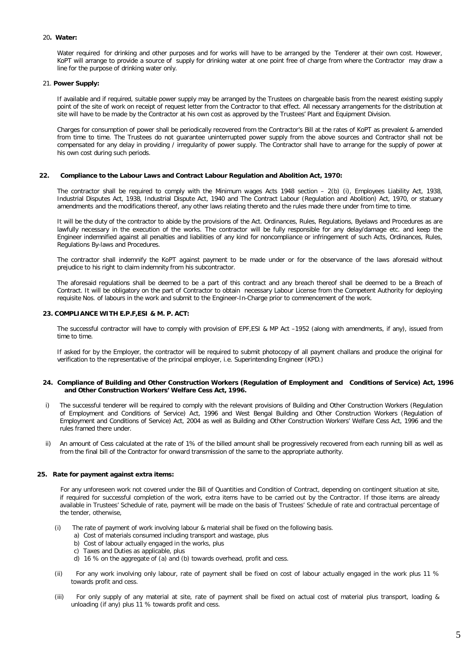## 20**. Water:**

Water required for drinking and other purposes and for works will have to be arranged by the Tenderer at their own cost. However, KoPT will arrange to provide a source of supply for drinking water at one point free of charge from where the Contractor may draw a line for the purpose of drinking water only.

#### 21. **Power Supply:**

If available and if required, suitable power supply may be arranged by the Trustees on chargeable basis from the nearest existing supply point of the site of work on receipt of request letter from the Contractor to that effect. All necessary arrangements for the distribution at site will have to be made by the Contractor at his own cost as approved by the Trustees' Plant and Equipment Division.

Charges for consumption of power shall be periodically recovered from the Contractor's Bill at the rates of KoPT as prevalent & amended from time to time. The Trustees do not guarantee uninterrupted power supply from the above sources and Contractor shall not be compensated for any delay in providing / irregularity of power supply. The Contractor shall have to arrange for the supply of power at his own cost during such periods.

#### **22. Compliance to the Labour Laws and Contract Labour Regulation and Abolition Act, 1970:**

The contractor shall be required to comply with the Minimum wages Acts 1948 section  $-$  2(b) (i), Employees Liability Act, 1938, Industrial Disputes Act, 1938, Industrial Dispute Act, 1940 and The Contract Labour (Regulation and Abolition) Act, 1970, or statuary amendments and the modifications thereof, any other laws relating thereto and the rules made there under from time to time.

It will be the duty of the contractor to abide by the provisions of the Act. Ordinances, Rules, Regulations, Byelaws and Procedures as are lawfully necessary in the execution of the works. The contractor will be fully responsible for any delay/damage etc. and keep the Engineer indemnified against all penalties and liabilities of any kind for noncompliance or infringement of such Acts, Ordinances, Rules, Regulations By-laws and Procedures.

The contractor shall indemnify the KoPT against payment to be made under or for the observance of the laws aforesaid without prejudice to his right to claim indemnity from his subcontractor.

The aforesaid regulations shall be deemed to be a part of this contract and any breach thereof shall be deemed to be a Breach of Contract. It will be obligatory on the part of Contractor to obtain necessary Labour License from the Competent Authority for deploying requisite Nos. of labours in the work and submit to the Engineer-In-Charge prior to commencement of the work.

#### **23. COMPLIANCE WITH E.P.F,ESI & M. P. ACT:**

The successful contractor will have to comply with provision of EPF,ESI & MP Act –1952 (along with amendments, if any), issued from time to time.

If asked for by the Employer, the contractor will be required to submit photocopy of all payment challans and produce the original for verification to the representative of the principal employer, i.e. Superintending Engineer (KPD.)

#### **24. Compliance of Building and Other Construction Workers (Regulation of Employment and Conditions of Service) Act, 1996 and Other Construction Workers' Welfare Cess Act, 1996.**

- i) The successful tenderer will be required to comply with the relevant provisions of Building and Other Construction Workers (Regulation of Employment and Conditions of Service) Act, 1996 and West Bengal Building and Other Construction Workers (Regulation of Employment and Conditions of Service) Act, 2004 as well as Building and Other Construction Workers' Welfare Cess Act, 1996 and the rules framed there under.
- ii) An amount of Cess calculated at the rate of 1% of the billed amount shall be progressively recovered from each running bill as well as from the final bill of the Contractor for onward transmission of the same to the appropriate authority.

## **25. Rate for payment against extra items:**

For any unforeseen work not covered under the Bill of Quantities and Condition of Contract, depending on contingent situation at site, if required for successful completion of the work, extra items have to be carried out by the Contractor. If those items are already available in Trustees' Schedule of rate, payment will be made on the basis of Trustees' Schedule of rate and contractual percentage of the tender, otherwise,

- (i)The rate of payment of work involving labour & material shall be fixed on the following basis.
	- a) Cost of materials consumed including transport and wastage, plus
	- b) Cost of labour actually engaged in the works, plus
	- c) Taxes and Duties as applicable, plus
	- d) 16 % on the aggregate of (a) and (b) towards overhead, profit and cess.
- (ii) For any work involving only labour, rate of payment shall be fixed on cost of labour actually engaged in the work plus 11 % towards profit and cess.
- (iii) For only supply of any material at site, rate of payment shall be fixed on actual cost of material plus transport, loading & unloading (if any) plus 11 % towards profit and cess.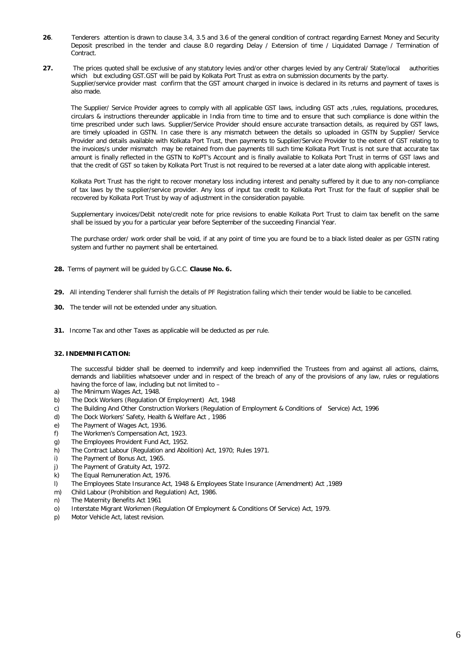- **26**. Tenderers attention is drawn to clause 3.4, 3.5 and 3.6 of the general condition of contract regarding Earnest Money and Security Deposit prescribed in the tender and clause 8.0 regarding Delay / Extension of time / Liquidated Damage / Termination of Contract.
- **27.** The prices quoted shall be exclusive of any statutory levies and/or other charges levied by any Central/ State/local authorities which but excluding GST.GST will be paid by Kolkata Port Trust as extra on submission documents by the party. Supplier/service provider mast confirm that the GST amount charged in invoice is declared in its returns and payment of taxes is also made.

The Supplier/ Service Provider agrees to comply with all applicable GST laws, including GST acts ,rules, regulations, procedures, circulars & instructions thereunder applicable in India from time to time and to ensure that such compliance is done within the time prescribed under such laws. Supplier/Service Provider should ensure accurate transaction details, as required by GST laws, are timely uploaded in GSTN. In case there is any mismatch between the details so uploaded in GSTN by Supplier/ Service Provider and details available with Kolkata Port Trust, then payments to Supplier/Service Provider to the extent of GST relating to the invoices/s under mismatch may be retained from due payments till such time Kolkata Port Trust is not sure that accurate tax amount is finally reflected in the GSTN to KoPT's Account and is finally available to Kolkata Port Trust in terms of GST laws and that the credit of GST so taken by Kolkata Port Trust is not required to be reversed at a later date along with applicable interest.

Kolkata Port Trust has the right to recover monetary loss including interest and penalty suffered by it due to any non-compliance of tax laws by the supplier/service provider. Any loss of input tax credit to Kolkata Port Trust for the fault of supplier shall be recovered by Kolkata Port Trust by way of adjustment in the consideration payable.

Supplementary invoices/Debit note/credit note for price revisions to enable Kolkata Port Trust to claim tax benefit on the same shall be issued by you for a particular year before September of the succeeding Financial Year.

The purchase order/ work order shall be void, if at any point of time you are found be to a black listed dealer as per GSTN rating system and further no payment shall be entertained.

- **28.** Terms of payment will be guided by G.C.C. **Clause No. 6.**
- **29.** All intending Tenderer shall furnish the details of PF Registration failing which their tender would be liable to be cancelled.
- **30.** The tender will not be extended under any situation.
- **31.** Income Tax and other Taxes as applicable will be deducted as per rule.

## **32. INDEMNIFICATION:**

The successful bidder shall be deemed to indemnify and keep indemnified the Trustees from and against all actions, claims, demands and liabilities whatsoever under and in respect of the breach of any of the provisions of any law, rules or regulations having the force of law, including but not limited to –

- a) The Minimum Wages Act, 1948.
- b) The Dock Workers (Regulation Of Employment) Act, 1948
- c) The Building And Other Construction Workers (Regulation of Employment & Conditions of Service) Act, 1996
- d) The Dock Workers' Safety, Health & Welfare Act , 1986
- e) The Payment of Wages Act, 1936.
- f) The Workmen's Compensation Act, 1923.
- g) The Employees Provident Fund Act, 1952.
- h) The Contract Labour (Regulation and Abolition) Act, 1970; Rules 1971.
- i) The Payment of Bonus Act, 1965.
- j) The Payment of Gratuity Act, 1972.
- k) The Equal Remuneration Act, 1976.
- l) The Employees State Insurance Act, 1948 & Employees State Insurance (Amendment) Act ,1989
- m) Child Labour (Prohibition and Regulation) Act, 1986.
- n) The Maternity Benefits Act 1961
- o) Interstate Migrant Workmen (Regulation Of Employment & Conditions Of Service) Act, 1979.
- p) Motor Vehicle Act, latest revision.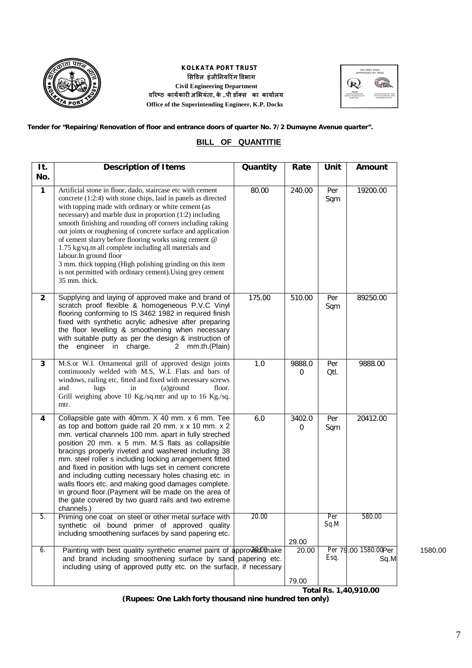

## **KOLKATA PORT TRUST ͧसͪवल इंजीǓनयǐरंग ͪवभाग Civil Engineering Department वǐरçठ काय[कारȣ अͧभयंता, के ..पी डॉÈस का काया[लय Office of the Superintending Engineer, K.P. Docks**



 **Tender for "Repairing/Renovation of floor and entrance doors of quarter No. 7/2 Dumayne Avenue quarter".**

# **BILL OF QUANTITIE**

| It.<br>No.     | <b>Description of Items</b>                                                                                                                                                                                                                                                                                                                                                                                                                                                                                                                                                                                                                                          | Quantity | Rate        | Unit        | Amount                       |
|----------------|----------------------------------------------------------------------------------------------------------------------------------------------------------------------------------------------------------------------------------------------------------------------------------------------------------------------------------------------------------------------------------------------------------------------------------------------------------------------------------------------------------------------------------------------------------------------------------------------------------------------------------------------------------------------|----------|-------------|-------------|------------------------------|
| $\mathbf{1}$   | Artificial stone in floor, dado, staircase etc with cement<br>concrete (1:2:4) with stone chips, laid in panels as directed<br>with topping made with ordinary or white cement (as<br>necessary) and marble dust in proportion (1:2) including<br>smooth finishing and rounding off corners including raking<br>out joints or roughening of concrete surface and application<br>of cement slurry before flooring works using cement @<br>1.75 kg/sq.m all complete including all materials and<br>labour. In ground floor<br>3 mm. thick topping (High polishing grinding on this item<br>is not permitted with ordinary cement). Using grey cement<br>35 mm. thick. | 80.00    | 240.00      | Per<br>Sqm  | 19200.00                     |
| $\overline{2}$ | Supplying and laying of approved make and brand of<br>scratch proof flexible & homogeneous P.V.C Vinyl<br>flooring conforming to IS 3462 1982 in required finish<br>fixed with synthetic acrylic adhesive after preparing<br>the floor levelling & smoothening when necessary<br>with suitable putty as per the design & instruction of<br>engineer in charge.<br>mm.th.(Plain)<br>the<br>$\mathbf{2}^{\circ}$                                                                                                                                                                                                                                                       | 175.00   | 510.00      | Per<br>Sqm  | 89250.00                     |
| 3              | M.S.or W.I. Ornamental grill of approved design joints<br>continuously welded with M.S, W.I. Flats and bars of<br>windows, railing etc. fitted and fixed with necessary screws<br>and<br>(a)ground<br>lugs<br>in<br>floor.<br>Grill weighing above 10 Kg./sq.mtr and up to 16 Kg./sq.<br>mtr.                                                                                                                                                                                                                                                                                                                                                                        | 1.0      | 9888.0<br>0 | Per<br>Qtl. | 9888.00                      |
| 4              | Collapsible gate with 40mm. X 40 mm. x 6 mm. Tee<br>as top and bottom guide rail 20 mm. x x 10 mm. x 2<br>mm. vertical channels 100 mm. apart in fully streched<br>position 20 mm. x 5 mm. M.S flats as collapsible<br>bracings properly riveted and washered including 38<br>mm. steel roller s including locking arrangement fitted<br>and fixed in position with lugs set in cement concrete<br>and including cutting necessary holes chasing etc. in<br>walls floors etc. and making good damages complete.<br>in ground floor. (Payment will be made on the area of<br>the gate covered by two guard rails and two extreme<br>channels.)                        | 6.0      | 3402.0<br>0 | Per<br>Sqm  | 20412.00                     |
| ნ.             | Priming one coat on steel or other metal surface with<br>synthetic oil bound primer of approved quality<br>including smoothening surfaces by sand papering etc.                                                                                                                                                                                                                                                                                                                                                                                                                                                                                                      | 20.00    | 29.00       | Per<br>Sq.M | 580.00                       |
| 6.             | Painting with best quality synthetic enamel paint of approved Omake<br>and brand including smoothening surface by sand papering etc.<br>including using of approved putty etc. on the surface, if necessary                                                                                                                                                                                                                                                                                                                                                                                                                                                          |          | 20.00       | Esq.        | Per 79.00 1580.00Per<br>Sq.M |
|                |                                                                                                                                                                                                                                                                                                                                                                                                                                                                                                                                                                                                                                                                      |          | 79.00       |             | Total Rs. 1,40,910.00        |

**(Rupees: One Lakh forty thousand nine hundred ten only)**

20.0*0* 1580.00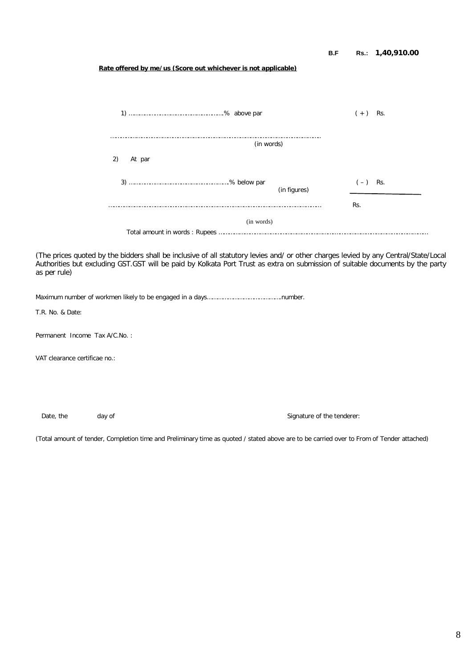|                                                                                                                                                                                                                                                                                        | Rate offered by me/us (Score out whichever is not applicable) | B.F                        |           | Rs.: 1,40,910.00 |  |  |  |  |
|----------------------------------------------------------------------------------------------------------------------------------------------------------------------------------------------------------------------------------------------------------------------------------------|---------------------------------------------------------------|----------------------------|-----------|------------------|--|--|--|--|
|                                                                                                                                                                                                                                                                                        |                                                               |                            |           |                  |  |  |  |  |
|                                                                                                                                                                                                                                                                                        |                                                               |                            | $(+)$ Rs. |                  |  |  |  |  |
|                                                                                                                                                                                                                                                                                        |                                                               |                            |           |                  |  |  |  |  |
|                                                                                                                                                                                                                                                                                        |                                                               |                            |           |                  |  |  |  |  |
|                                                                                                                                                                                                                                                                                        |                                                               | (in figures)               | $(-)$ Rs. |                  |  |  |  |  |
|                                                                                                                                                                                                                                                                                        |                                                               |                            | Rs.       |                  |  |  |  |  |
|                                                                                                                                                                                                                                                                                        | (in words)                                                    |                            |           |                  |  |  |  |  |
|                                                                                                                                                                                                                                                                                        |                                                               |                            |           |                  |  |  |  |  |
| (The prices quoted by the bidders shall be inclusive of all statutory levies and/ or other charges levied by any Central/State/Local<br>Authorities but excluding GST.GST will be paid by Kolkata Port Trust as extra on submission of suitable documents by the party<br>as per rule) |                                                               |                            |           |                  |  |  |  |  |
|                                                                                                                                                                                                                                                                                        |                                                               |                            |           |                  |  |  |  |  |
| T.R. No. & Date:                                                                                                                                                                                                                                                                       |                                                               |                            |           |                  |  |  |  |  |
| Permanent Income Tax A/C.No.:                                                                                                                                                                                                                                                          |                                                               |                            |           |                  |  |  |  |  |
| VAT clearance certificae no.:                                                                                                                                                                                                                                                          |                                                               |                            |           |                  |  |  |  |  |
|                                                                                                                                                                                                                                                                                        |                                                               |                            |           |                  |  |  |  |  |
|                                                                                                                                                                                                                                                                                        |                                                               |                            |           |                  |  |  |  |  |
| Date, the                                                                                                                                                                                                                                                                              | day of                                                        | Signature of the tenderer: |           |                  |  |  |  |  |
| (Total amount of tender, Completion time and Preliminary time as quoted / stated above are to be carried over to From of Tender attached)                                                                                                                                              |                                                               |                            |           |                  |  |  |  |  |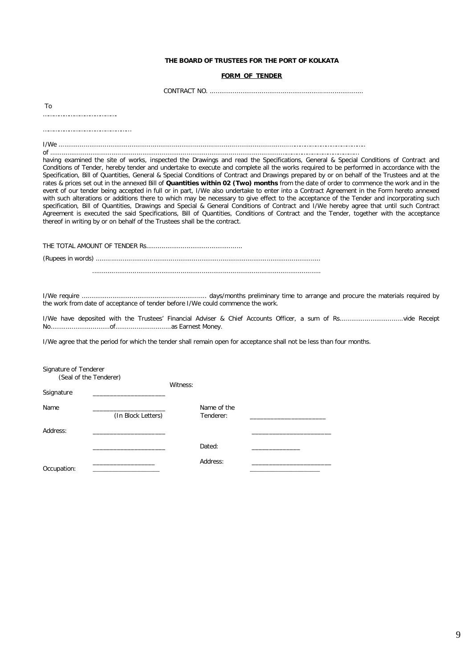## **THE BOARD OF TRUSTEES FOR THE PORT OF KOLKATA**

## **FORM OF TENDER**

CONTRACT NO. ................................................................................

To

…………………………………….

……………………………………………

I/We ........................................................................................................................…………………………………….. of ........................................................................................................................………………………………………

having examined the site of works, inspected the Drawings and read the Specifications, General & Special Conditions of Contract and Conditions of Tender, hereby tender and undertake to execute and complete all the works required to be performed in accordance with the Specification, Bill of Quantities, General & Special Conditions of Contract and Drawings prepared by or on behalf of the Trustees and at the rates & prices set out in the annexed Bill of **Quantities within 02 (Two) months** from the date of order to commence the work and in the event of our tender being accepted in full or in part, I/We also undertake to enter into a Contract Agreement in the Form hereto annexed with such alterations or additions there to which may be necessary to give effect to the acceptance of the Tender and incorporating such specification, Bill of Quantities, Drawings and Special & General Conditions of Contract and I/We hereby agree that until such Contract Agreement is executed the said Specifications, Bill of Quantities, Conditions of Contract and the Tender, together with the acceptance thereof in writing by or on behalf of the Trustees shall be the contract.

*THE TOTAL AMOUNT OF TENDER Rs.................................................. (Rupees in words)* ..................................................................................................................... .......................................................................................................................

I/We require ................................................................. days/months preliminary time to arrange and procure the materials required by the work from date of acceptance of tender before I/We could commence the work.

I/We have deposited with the Trustees' Financial Adviser & Chief Accounts Officer, a sum of Rs.................................vide Receipt No...............................of.............................as Earnest Money.

I/We agree that the period for which the tender shall remain open for acceptance shall not be less than four months.

| Signature of Tenderer<br>(Seal of the Tenderer) |                    |          |                          |  |
|-------------------------------------------------|--------------------|----------|--------------------------|--|
| Ssignature                                      |                    | Witness: |                          |  |
| Name                                            | (In Block Letters) |          | Name of the<br>Tenderer: |  |
| Address:                                        |                    |          |                          |  |
|                                                 |                    |          | Dated:                   |  |
| Occupation:                                     |                    |          | Address:                 |  |